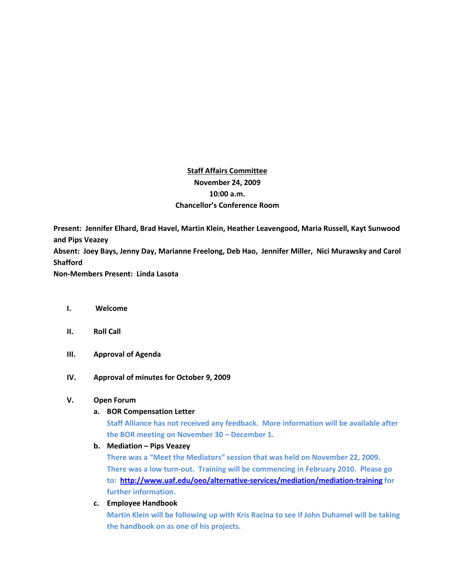# **Staff Affairs Committee November 24, 2009 10:00 a.m. Chancellor's Conference Room**

**Present: Jennifer Elhard, Brad Havel, Martin Klein, Heather Leavengood, Maria Russell, Kayt Sunwood and Pips Veazey Absent: Joey Bays, Jenny Day, Marianne Freelong, Deb Hao, Jennifer Miller, Nici Murawsky and Carol Shafford**

**Non-Members Present: Linda Lasota**

- **I. Welcome**
- **II. Roll Call**
- **III. Approval of Agenda**
- **IV. Approval of minutes for October 9, 2009**

## **V. Open Forum**

**a. BOR Compensation Letter**

**Staff Alliance has not received any feedback. More information will be available after the BOR meeting on November 30 – December 1.**

**b. Mediation – Pips Veazey**

**There was a "Meet the Mediators" session that was held on November 22, 2009. There was a low turn-out. Training will be commencing in February 2010. Please go to:<http://www.uaf.edu/oeo/alternative-services/mediation/mediation-training> for further information.**

**c. Employee Handbook**

**Martin Klein will be following up with Kris Racina to see if John Duhamel will be taking the handbook on as one of his projects.**